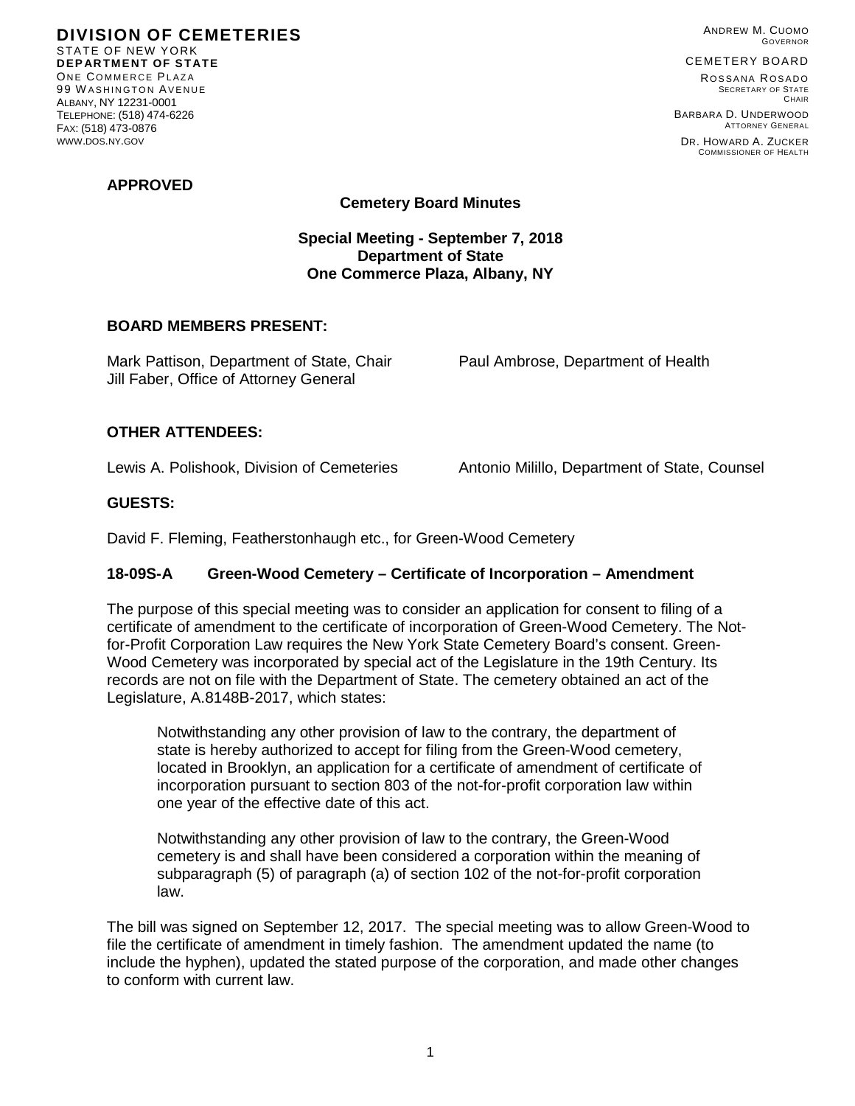**DIVISION OF CEMETERIES** STATE OF NEW YORK **DEPARTMENT OF STATE** ONE COMMERCE PLAZA 99 W ASHINGTON AVENUE ALBANY, NY 12231-0001 TELEPHONE: (518) 474-6226 FAX: (518) 473-0876 WWW.DOS.NY.GOV

ANDREW M. CUOMO GOVERNOR

#### CEMETERY BOARD

ROSSANA ROSADO SECRETARY OF STATE CHAIR BARBARA D. UNDERWOOD

ATTORNEY GENERAL DR. HOWARD A. ZUCKER COMMISSIONER OF HEALTH

### **APPROVED**

# **Cemetery Board Minutes**

### **Special Meeting - September 7, 2018 Department of State One Commerce Plaza, Albany, NY**

#### **BOARD MEMBERS PRESENT:**

Mark Pattison, Department of State, Chair Paul Ambrose, Department of Health Jill Faber, Office of Attorney General

## **OTHER ATTENDEES:**

Lewis A. Polishook, Division of Cemeteries Antonio Milillo, Department of State, Counsel

## **GUESTS:**

David F. Fleming, Featherstonhaugh etc., for Green-Wood Cemetery

# **18-09S-A Green-Wood Cemetery – Certificate of Incorporation – Amendment**

The purpose of this special meeting was to consider an application for consent to filing of a certificate of amendment to the certificate of incorporation of Green-Wood Cemetery. The Notfor-Profit Corporation Law requires the New York State Cemetery Board's consent. Green-Wood Cemetery was incorporated by special act of the Legislature in the 19th Century. Its records are not on file with the Department of State. The cemetery obtained an act of the Legislature, A.8148B-2017, which states:

Notwithstanding any other provision of law to the contrary, the department of state is hereby authorized to accept for filing from the Green-Wood cemetery, located in Brooklyn, an application for a certificate of amendment of certificate of incorporation pursuant to section 803 of the not-for-profit corporation law within one year of the effective date of this act.

Notwithstanding any other provision of law to the contrary, the Green-Wood cemetery is and shall have been considered a corporation within the meaning of subparagraph (5) of paragraph (a) of section 102 of the not-for-profit corporation law.

The bill was signed on September 12, 2017. The special meeting was to allow Green-Wood to file the certificate of amendment in timely fashion. The amendment updated the name (to include the hyphen), updated the stated purpose of the corporation, and made other changes to conform with current law.